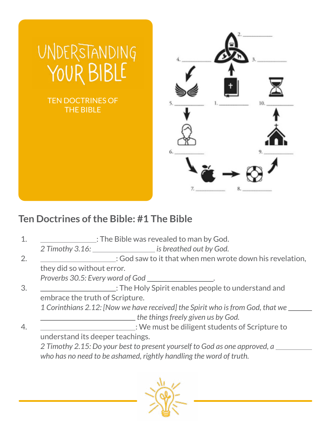

## **Ten Doctrines of the Bible: #1 The Bible**

1. The Bible was revealed to man by God.

2 Timothy 3.16: **is breathed out by God.** 

2. : God saw to it that when men wrote down his revelation, they did so without error.

*Proverbs 30.5: Every word of God .*

3. : The Holy Spirit enables people to understand and embrace the truth of Scripture.

*1 Corinthians 2.12: [Now we have received] the Spirit who is from God, that we the things freely given us by God.*

4. : We must be diligent students of Scripture to understand its deeper teachings.

*2 Timothy 2.15: Do your best to present yourself to God as one approved, a who has no need to be ashamed, rightly handling the word of truth.*